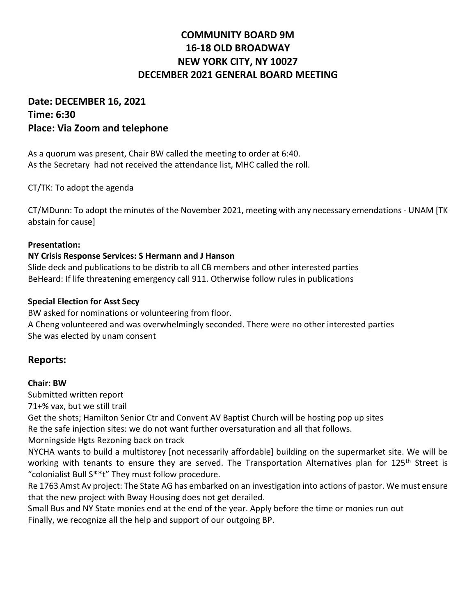# **COMMUNITY BOARD 9M 16-18 OLD BROADWAY NEW YORK CITY, NY 10027 DECEMBER 2021 GENERAL BOARD MEETING**

# **Date: DECEMBER 16, 2021 Time: 6:30 Place: Via Zoom and telephone**

As a quorum was present, Chair BW called the meeting to order at 6:40. As the Secretary had not received the attendance list, MHC called the roll.

CT/TK: To adopt the agenda

CT/MDunn: To adopt the minutes of the November 2021, meeting with any necessary emendations - UNAM [TK abstain for cause]

#### **Presentation:**

#### **NY Crisis Response Services: S Hermann and J Hanson**

Slide deck and publications to be distrib to all CB members and other interested parties BeHeard: If life threatening emergency call 911. Otherwise follow rules in publications

#### **Special Election for Asst Secy**

BW asked for nominations or volunteering from floor. A Cheng volunteered and was overwhelmingly seconded. There were no other interested parties She was elected by unam consent

## **Reports:**

#### **Chair: BW**

Submitted written report

71+% vax, but we still trail

Get the shots; Hamilton Senior Ctr and Convent AV Baptist Church will be hosting pop up sites Re the safe injection sites: we do not want further oversaturation and all that follows.

Morningside Hgts Rezoning back on track

NYCHA wants to build a multistorey [not necessarily affordable] building on the supermarket site. We will be working with tenants to ensure they are served. The Transportation Alternatives plan for 125<sup>th</sup> Street is "colonialist Bull S\*\*t" They must follow procedure.

Re 1763 Amst Av project: The State AG has embarked on an investigation into actions of pastor. We must ensure that the new project with Bway Housing does not get derailed.

Small Bus and NY State monies end at the end of the year. Apply before the time or monies run out Finally, we recognize all the help and support of our outgoing BP.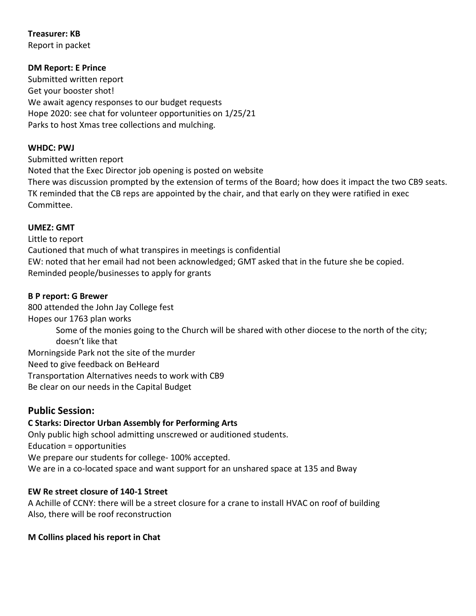**Treasurer: KB** Report in packet

**DM Report: E Prince**

Submitted written report Get your booster shot! We await agency responses to our budget requests Hope 2020: see chat for volunteer opportunities on 1/25/21 Parks to host Xmas tree collections and mulching.

#### **WHDC: PWJ**

Submitted written report Noted that the Exec Director job opening is posted on website There was discussion prompted by the extension of terms of the Board; how does it impact the two CB9 seats. TK reminded that the CB reps are appointed by the chair, and that early on they were ratified in exec Committee.

#### **UMEZ: GMT**

Little to report Cautioned that much of what transpires in meetings is confidential EW: noted that her email had not been acknowledged; GMT asked that in the future she be copied. Reminded people/businesses to apply for grants

#### **B P report: G Brewer**

800 attended the John Jay College fest Hopes our 1763 plan works Some of the monies going to the Church will be shared with other diocese to the north of the city; doesn't like that Morningside Park not the site of the murder Need to give feedback on BeHeard Transportation Alternatives needs to work with CB9 Be clear on our needs in the Capital Budget

## **Public Session:**

# **C Starks: Director Urban Assembly for Performing Arts**

Only public high school admitting unscrewed or auditioned students. Education = opportunities We prepare our students for college- 100% accepted. We are in a co-located space and want support for an unshared space at 135 and Bway

## **EW Re street closure of 140-1 Street**

A Achille of CCNY: there will be a street closure for a crane to install HVAC on roof of building Also, there will be roof reconstruction

## **M Collins placed his report in Chat**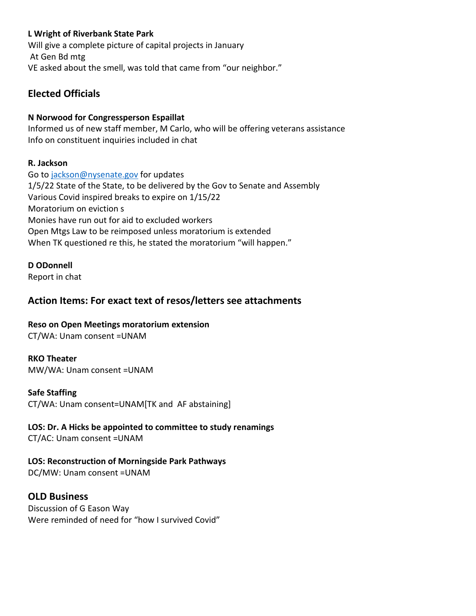## **L Wright of Riverbank State Park**

Will give a complete picture of capital projects in January At Gen Bd mtg VE asked about the smell, was told that came from "our neighbor."

# **Elected Officials**

## **N Norwood for Congressperson Espaillat**

Informed us of new staff member, M Carlo, who will be offering veterans assistance Info on constituent inquiries included in chat

## **R. Jackson**

Go t[o jackson@nysenate.gov](mailto:jackson@nysenate.gov) for updates 1/5/22 State of the State, to be delivered by the Gov to Senate and Assembly Various Covid inspired breaks to expire on 1/15/22 Moratorium on eviction s Monies have run out for aid to excluded workers Open Mtgs Law to be reimposed unless moratorium is extended When TK questioned re this, he stated the moratorium "will happen."

## **D ODonnell**

Report in chat

# **Action Items: For exact text of resos/letters see attachments**

## **Reso on Open Meetings moratorium extension**

CT/WA: Unam consent =UNAM

## **RKO Theater**

MW/WA: Unam consent =UNAM

## **Safe Staffing**

CT/WA: Unam consent=UNAM[TK and AF abstaining]

# **LOS: Dr. A Hicks be appointed to committee to study renamings**

CT/AC: Unam consent =UNAM

## **LOS: Reconstruction of Morningside Park Pathways**

DC/MW: Unam consent =UNAM

# **OLD Business**

Discussion of G Eason Way Were reminded of need for "how I survived Covid"